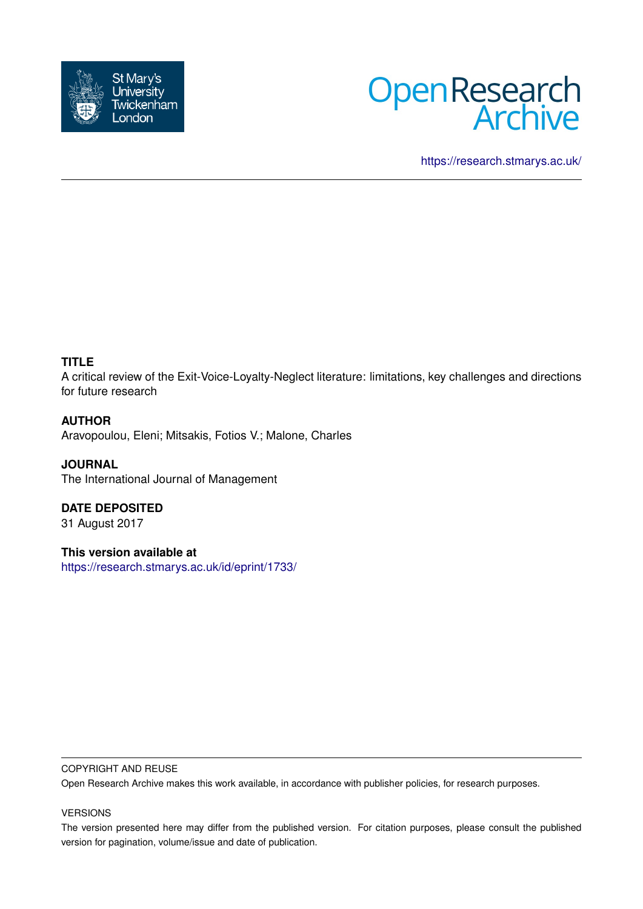



<https://research.stmarys.ac.uk/>

## **TITLE**

A critical review of the Exit-Voice-Loyalty-Neglect literature: limitations, key challenges and directions for future research

### **AUTHOR**

Aravopoulou, Eleni; Mitsakis, Fotios V.; Malone, Charles

**JOURNAL** The International Journal of Management

**DATE DEPOSITED** 31 August 2017

**This version available at** <https://research.stmarys.ac.uk/id/eprint/1733/>

#### COPYRIGHT AND REUSE

Open Research Archive makes this work available, in accordance with publisher policies, for research purposes.

#### VERSIONS

The version presented here may differ from the published version. For citation purposes, please consult the published version for pagination, volume/issue and date of publication.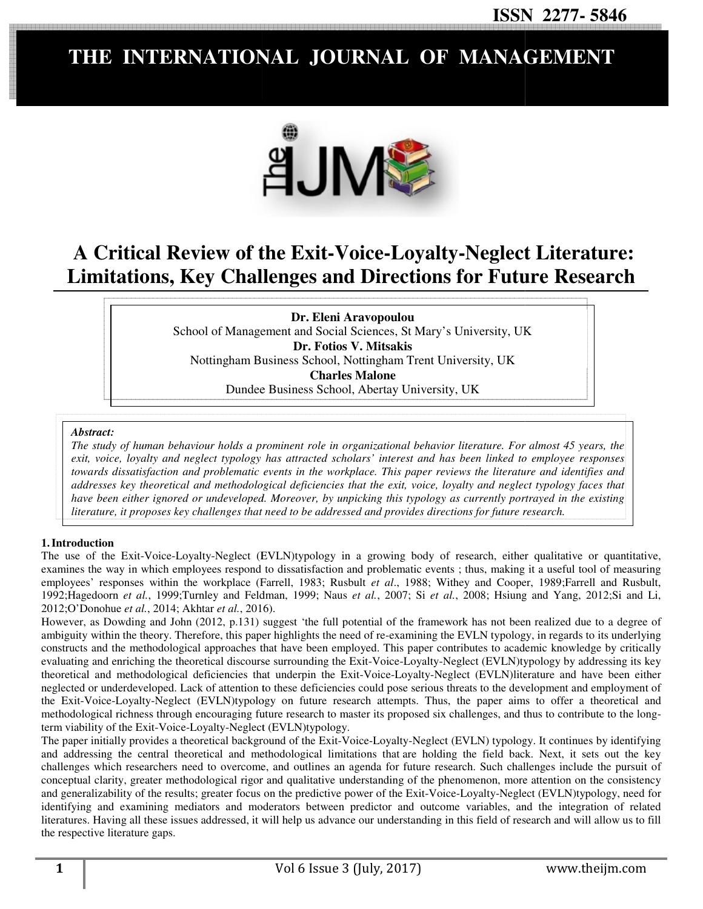# THE INTERNATIONAL JOURNAL OF MANAGEMENT



# **A Critical Review of the Exit-Voice-Loyalty-Neglect Literature: Limitations, Key Challenges Limitations, Key Challenges and Directions for Future Research Neglect Research**

School of Management and Social Sciences, St Mary's University, UK Nottingham Business School, Nottingham Trent University, UK Dundee Business School, Abertay University, UK **Dr. Eleni Aravopoulou Dr. Fotios V. Mitsakis Charles Malone** 

#### *Abstract:*

*The study of human behaviour holds a prominent role in organizational behavior literature. For almost 45 years, the exit, voice, loyalty and neglect typology has attracted scholars' interest and has been linked to employee responses* exit, voice, loyalty and neglect typology has attracted scholars' interest and has been linked to employee responses<br>towards dissatisfaction and problematic events in the workplace. This paper reviews the literature and id addresses key theoretical and methodological deficiencies that the exit, voice, loyalty and neglect typology faces that *have been either ignored or undeveloped. Moreover, by unpicking this typology as currently portrayed in the existing literature, it proposes key challenges that need to be addressed and provides directions for future research. challenges addressed directions for research.*

#### **1.Introduction**

The use of the Exit-Voice-Loyalty-Neglect (EVLN)typology in a growing body of research, either qualitative or quantitative, examines the way in which employees respond to dissatisfaction and problematic events; thus, making it a useful tool of measuring examines the way in which employees respond to dissatisfaction and problematic events; thus, making it a useful tool of measuring employees' responses within the workplace (Farrell, 1983; Rusbult *et al.*, 1988; Withey and 1992;Hagedoorn et al., 1999;Turnley and Feldman, 1999; Naus et al., 2007; Si et al., 2008; Hsiung and Yang, 2012;Si and Li, 2012;O'Donohue *et al.*, 2014; Akhtar *et al.*, 2016).

However, as Dowding and John (2012, p.131) suggest 'the full potential of the framework has not been realized due to a degree of ambiguity within the theory. Therefore, this paper highlights the need of re-examining the EVLN typology, in regards to its underlying constructs and the methodological approaches that have been employed. This paper contributes to academic knowledge by critically constructs and the methodological approaches that have been employed. This paper contributes to academic knowledge by critically<br>evaluating and enriching the theoretical discourse surrounding the Exit-Voice-Loyalty-Neglect theoretical and methodological deficiencies that underpin the Exit-Voice-Loyalty-Neglect (EVLN)literature and have been either neglected or underdeveloped. Lack of attention to these deficiencies could pose serious threats to the development and employment of neglected or underdeveloped. Lack of attention to these deficiencies could pose serious threats to the development and employment of<br>the Exit-Voice-Loyalty-Neglect (EVLN)typology on future research attempts. Thus, the pape methodological richness through encouraging future research to master its proposed six challenges, and thus to contribute to the long-<br>term viability of the Exit-Voice-Loyalty-Neglect (EVLN)typology. term viability of the Exit-Voice-Loyalty-Neglect (EVLN)typology. **ISSN 2277<br>
NTERNATIONAL JOURNAL OF MANAGEMI<br>
SEN 2277<br>
NTERNATIONAL JOURNAL OF MANAGEMI<br>
Call Review of the Exit-Voice-Loyalty-Neglect Liter<br>
including**  $\mathbf{R}$  **and Annoual Sensitive Sensitive Call 2011<br>
School of Managem** 

The paper initially provides a theoretical background of the Exit-Voice-Loyalty-Neglect (EVLN) typology. It continues by identifying and addressing the central theoretical and methodological limitations that are holding the field back. Next, it sets out the key challenges which researchers need to overcome, and outlines an agenda for future research. Such challenges include the pursuit of challenges which researchers need to overcome, and outlines an agenda for future research. Such challenges include the pursuit of conceptual clarity, greater methodological rigor and qualitative understanding of the phenom and generalizability of the results; greater focus on the predictive power of the Exit-Voice-Loyalty-Neglect (EVLN)typology, need for identifying and examining mediators and moderators between predictor and outcome variables, and the integration of related literatures. Having all these issues addressed, it will help us advance our understanding in this field of research and will allow us to fill the respective literature gaps.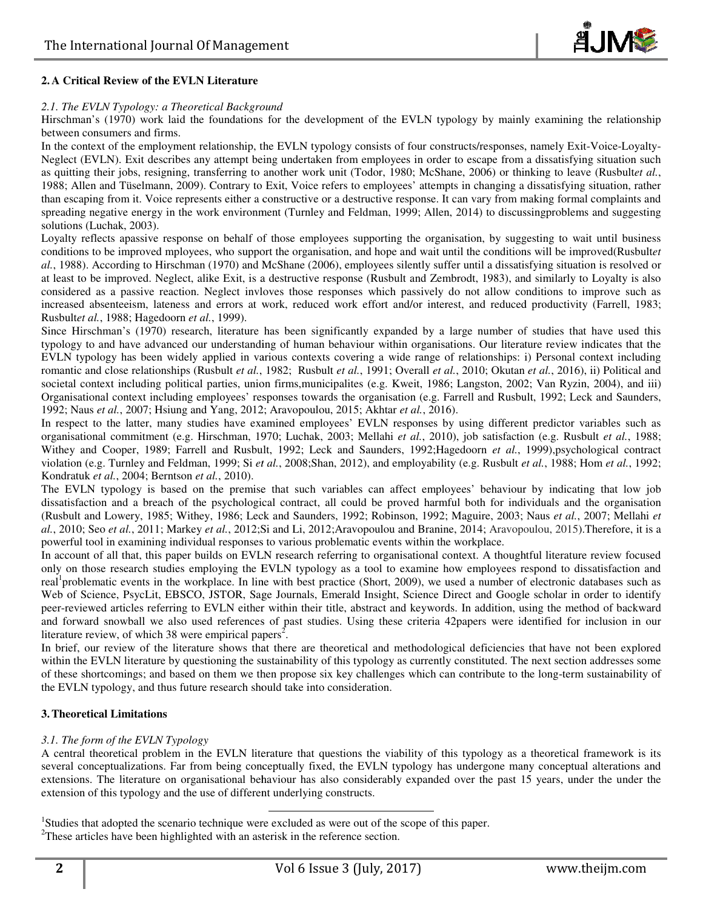

#### **2. A Critical Review of the EVLN Literature**

#### *2.1. The EVLN Typology: a Theoretical Background*

Hirschman's (1970) work laid the foundations for the development of the EVLN typology by mainly examining the relationship between consumers and firms.

In the context of the employment relationship, the EVLN typology consists of four constructs/responses, namely Exit-Voice-Loyalty-In the context of the employment relationship, the EVLN typology consists of four constructs/responses, namely Exit-Voice-Loyalty-<br>Neglect (EVLN). Exit describes any attempt being undertaken from employees in order to esca as quitting their jobs, resigning, transferring to another work unit (Todor, 1980; McShane, 2006) or thinking to leave (Rusbult *et al.*, 1988; Allen and Tüselmann, 2009). Contrary to Exit, Voice refers to employees' attempts in changing a dissatisfying situation, rather than escaping from it. Voice represents either a constructive or a destructive response. It can vary from making formal complaints and than escaping from it. Voice represents either a constructive or a destructive response. It can vary from making formal complaints and<br>spreading negative energy in the work environment (Turnley and Feldman, 1999; Allen, 20 solutions (Luchak, 2003). spreading negative energy in the work environment (Turnley and Feldman, 1999; Allen, 2014) to discussingproblems and suggesting<br>solutions (Luchak, 2003).<br>Loyalty reflects apassive response on behalf of those employees supp r jobs, resigning, transferring to another work unit (Todor, 1980; McShane, 2006) or thinking to leave (Rusbultet al., d Tüselmann, 2009). Contrary to Exit, Voice refers to employees' attempts in changing a dissatisfying s

conditions to be improved mployees, who support the organisation, and hope and wait until the conditions will be improved(Rusbultet al., 1988). According to Hirschman (1970) and McShane (2006), employees silently suffer until a dissatisfying situation is resolved or at least to be improved. Neglect, alike Exit, is a destructive response (Rusbult and Zembrodt, 1983), and similarly to Loyalty is also considered as a passive reaction. Neglect invloves those responses which passively do not allow conditions to improve such as increased absenteeism, lateness and errors at work, reduced work effort and/or interest, and reduced productivity (Farrell, 1983; Rusbult*et al.*, 1988; Hagedoorn *et al.*, 1999).

Since Hirschman's (1970) research, literature has been significantly expanded by a large number of studies that have used this typology to and have advanced our understanding of human behaviour within organisations. Our literature review indicates that the typology to and have advanced our understanding of human behaviour within organisations. Our literature review indicates that the<br>EVLN typology has been widely applied in various contexts covering a wide range of relations romantic and close relationships (Rusbult *et al.*, 1982; Rusbult *et al.*, 1991; Overall *et al.*, 2010; Okutan *et al.*, 2016), ii) Political and societal context including political parties, union firms,municipalites (e.g. Kweit, 1986; Langston, 2002; Van Ryzin, 2004), and iii) societal context including political parties, union firms,municipalites (e.g. Kweit, 1986; Langston, 2002; Van Ryzin, 2004), and iii)<br>Organisational context including employees' responses towards the organisation (e.g. Far 1992; Naus *et al.*, 2007; Hsiung and Yang, 2012; Aravopoulou, 2015; Akhtar *et al.*, 2016).

In respect to the latter, many studies have examined employees' EVLN responses by using different predictor variables such as organisational commitment (e.g. Hirschman, 1970; Luchak, 2003; Mellahi et al., 2010), job satisfaction (e.g. Rusbult et al., 1988; Withey and Cooper, 1989; Farrell and Rusbult, 1992; Leck and Saunders, 1992;Hagedoorn et al., 1999),psychological contract violation (e.g. Turnley and Feldman, 1999; Si *et al.*, 2008;Shan, 2012), and employability (e.g. Rusbult *et al.*, 1988; Hom *et al.*, 1992; Kondratuk *et al.*, 2004; Berntson *et al.*, 2010).

The EVLN typology is based on the premise that such variables can affect employees' behaviour by indicating that low job dissatisfaction and a breach of the psychological contract, all could be proved harmful both for individuals and the organisation (Rusbult and Lowery, 1985; Withey, 1986; Leck and Saunders, 1992; Robinson, 1992; Maguire, 2003; Naus *et al.*, 2007; Mellahi *et*  (Rusbult and Lowery, 1985; Withey, 1986; Leck and Saunders, 1992; Robinson, 1992; Maguire, 2003; Naus *et al.*, 2007; Mellahi *et al.*, 2011; Markey *et al.*, 2012;Si and Li, 2012;Aravopoulou and Branine, 2014; Aravopoulou powerful tool in examining individual responses to various problematic events within the workplace.

In account of all that, this paper builds on EVLN research referring to organisational context. A thoughtful literature review focused only on those research studies employing the EVLN typology as a tool to examine how employees respond to dissatisfaction and real<sup>1</sup> problematic events in the workplace. In line with best practice (Short, 2009), we used a number of electronic databases such as Web of Science, PsycLit, EBSCO, JSTOR, Sage Journals, Emerald Insight, Science Direct and Google scholar in order to identify peer-reviewed articles referring to EVLN either within their title, abstract and keywords. In addition, using the method of backwa backward and forward snowball we also used references of past studies. Using these criteria 42papers were identified for inclusion in our literature review, of which 38 were empirical papers<sup>2</sup>. broblematic events in the workplace. In line with best practice (Short, 2009), we used a number of electronic databases such as of Science, PsycLit, EBSCO, JSTOR, Sage Journals, Emerald Insight, Science Direct and Google s

In brief, our review of the literature shows that there are theoretical and methodological deficiencies that have not been explored within the EVLN literature by questioning the sustainability of this typology as currently constituted. The next section addresses some of these shortcomings; and based on them we then propose six key challenges which can contribute to the long-term sustainability of the EVLN typology, and thus future research should take into consideration.

#### **3.Theoretical Limitations**

#### *3.1. The form of the EVLN Typology*

the EVLN typology, and thus future research should take into consideration.<br> **3. Theoretical Limitations**<br>
3.1. The form of the EVLN Typology<br>
A central theoretical problem in the EVLN literature that questions the viabili several conceptualizations. Far from being conceptually fixed, the EVLN typology has undergone many conceptual alterations and several conceptualizations. Far from being conceptually fixed, the EVLN typology has undergone many conceptual alterations and<br>extensions. The literature on organisational behaviour has also considerably expanded over the extension of this typology and the use of different underlying constructs.

<sup>1</sup>Studies that adopted the scenario technique were excluded as were out of the scope of this paper.  $2$ These articles have been highlighted with an asterisk in the reference section.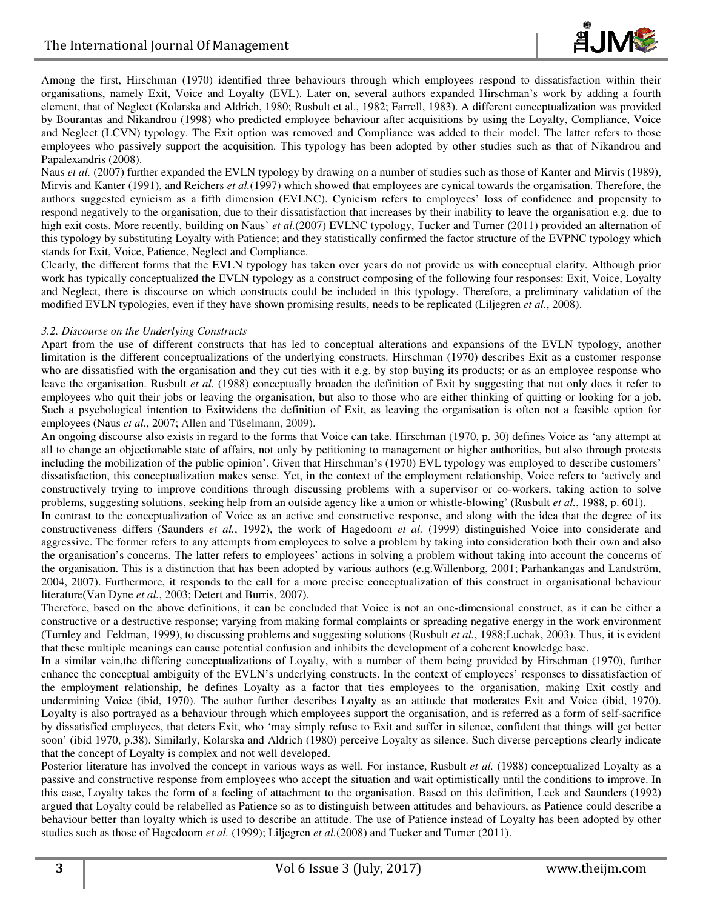

Among the first, Hirschman (1970) identified three behaviours through which employees respond to dissatisfaction within their organisations, namely Exit, Voice and Loyalty (EVL). Later on, several authors expanded Hirschman's work by adding a fourth element, that of Neglect (Kolarska and Aldrich, 1980; Rusbult et al., 1982; Farrell, 1983). A different conceptualization was provided by Bourantas and Nikandrou (1998) who predicted employee behaviour after acquisitions by using the Loyalty, Compliance, Voice and Neglect (LCVN) typology. The Exit option was removed and Compliance was added to their model and Neglect (LCVN) typology. The Exit option was removed and Compliance was added to their model. The latter refers to those employees who passively support the acquisition. This typology has been adopted by other studies such as that of Nikandrou and Papalexandris (2008). employees who passively support the acquisition. This typology has been adopted by other studies such as that of Nikandrou and<br>Papalexandris (2008).<br>Naus *et al.* (2007) further expanded the EVLN typology by drawing on a n

Mirvis and Kanter (1991), and Reichers *et al.*(1997) which showed that employees are cynical towards the organisation. Therefore, the authors suggested cynicism as a fifth dimension (EVLNC). Cynicism refers to employees' loss of confidence and propensity to respond negatively to the organisation, due to their dissatisfaction that increases by their inability to leave the organisation e.g. due to respond negatively to the organisation, due to their dissatisfaction that increases by their inability to leave the organisation e.g. due to high exit costs. More recently, building on Naus' et al.(2007) EVLNC typology, Tu this typology by substituting Loyalty with Patience; and they statistically confirmed the factor structure of the EVPNC typology which<br>stands for Exit, Voice, Patience, Neglect and Compliance. stands for Exit, Voice, Patience, Neglect and Compliance.

Clearly, the different forms that the EVLN typology has taken over years do not provide us with conceptual clarity. Although prior work has typically conceptualized the EVLN typology as a construct composing of the following four responses: Exit, Voice, Lo Loyalty work has typically conceptualized the EVLN typology as a construct composing of the following four responses: Exit, Voice, Loyalty and Neglect, there is discourse on which constructs could be included in this typology. The modified EVLN typologies, even if they have shown promising results, needs to be replicated (Liljegren et al., 2008).

#### *3.2. Discourse on the Underlying Constructs*

Apart from the use of different constructs that has led to conceptual alterations and expansions of the EVLN typology, another limitation is the different conceptualizations of the underlying constructs. Hirschman (1970) describes Exit as a customer response who are dissatisfied with the organisation and they cut ties with it e.g. by stop buying its products; or as an employee response who who are dissatisfied with the organisation and they cut ties with it e.g. by stop buying its products; or as an employee response who leave the organisation. Rusbult *et al.* (1988) conceptually broaden the definition of E employees who quit their jobs or leaving the organisation, but also to those who are either thinking of quitting or looking for a job. employees who quit their jobs or leaving the organisation, but also to those who are either thinking of quitting or looking for a job.<br>Such a psychological intention to Exitwidens the definition of Exit, as leaving the org employees (Naus et al., 2007; Allen and Tüselmann, 2009).

An ongoing discourse also exists in regard to the forms that Voice can take. Hirschman (1970, p. 30) defines Voice as 'any attempt at all to change an objectionable state of affairs, not only by petitioning to management or higher authorities, but also through pro protests including the mobilization of the public opinion'. Given that Hirschman's (1970) EVL typology was employed to describe customers' dissatisfaction, this conceptualization makes sense. Yet, in the context of the employment relationship, Voice refers to 'actively and An ongoing discourse also exists in regard to the forms that Voice can take. Hirschman (1970, p. 30) defines Voice as 'any attempt at all to change an objectionable state of affairs, not only by petitioning to management o problems, suggesting solutions, seeking help from an outside agency like a union or whistle-blowing' (Rusbult *et al.*, 1988, p. 601).

In contrast to the conceptualization of Voice as an active and constructive response, and along with the idea that the degree of its constructiveness differs (Saunders *et al.*, 1992), the work of Hagedoorn *et al.* (1999) distinguished Voice into considerate and aggressive. The former refers to any attempts from employees to solve a problem by taking into consideration both their own and also the organisation's concerns. The latter refers to employees' actions in solving a problem without taking into account the concerns of the organisation's concerns. The latter refers to employees' actions in solving a problem without taking into account the concerns of<br>the organisation. This is a distinction that has been adopted by various authors (e.g.Wi 2004, 2007). Furthermore, it responds to the call for a more precise conceptualization of this construct in organisational behaviour literature(Van Dyne *et al.*, 2003; Detert and Burris, 2007). 2004, 2007). Furthermore, it responds to the call for a more precise conceptualization of this construct in organisational behaviour literature(Van Dyne *et al.*, 2003; Detert and Burris, 2007).<br>Therefore, based on the abo

constructive or a destructive response; varying from making formal complaints or spreading negative energy in the work environment (Turnley and Feldman, 1999), to discussing problems and suggesting solutions (Rusbult *et al.*, 1988;Luchak, 2003). Thus, it is evident that these multiple meanings can cause potential confusion and inhibits the development of a coherent knowledge base.

In a similar vein, the differing conceptualizations of Loyalty, with a number of them being provided by Hirschman (1970), further enhance the conceptual ambiguity of the EVLN's underlying constructs. In the context of employees' responses to dissatisfaction of the employment relationship, he defines Loyalty as a factor that ties employees to the organisation, making Exit costly and undermining Voice (ibid, 1970). The author further describes Loyalty as an attitude that moderates Exit and Voice (ibid, 1970). Loyalty is also portrayed as a behaviour through which employees support the organisation, and is referred as a form of self by dissatisfied employees, that deters Exit, who 'may simply refuse to Exit and suffer in silence, confident that things will get better soon' (ibid 1970, p.38). Similarly, Kolarska and Aldrich (1980) perceive Loyalty as silence. Such diverse perceptions clearly indicate that the concept of Loyalty is complex and not well developed. undermining Voice (ibid, 1970). The author further describes Loyalty as an attitude that moderates Exit and Voice (ibid, 1970).<br>Loyalty is also portrayed as a behaviour through which employees support the organisation, and self-sacrifice

Posterior literature has involved the concept in various ways as well. For instance, Rusbult et al. (1988) conceptualized Loyalty as a passive and constructive response from employees who accept the situation and wait optimistically until the conditions to improve. In passive and constructive response from employees who accept the situation and wait optimistically until the conditions to improve. In<br>this case, Loyalty takes the form of a feeling of attachment to the organisation. Based argued that Loyalty could be relabelled as Patience so as to distinguish between attitudes and behaviours, as Patience could describe a behaviour better than loyalty which is used to describe an attitude. The use of Patience instead of Loyalty has been adopted by other studies such as those of Hagedoorn *et al.* (1999); Liljegren *et al.*(2008) and Tucker and Turner (2011).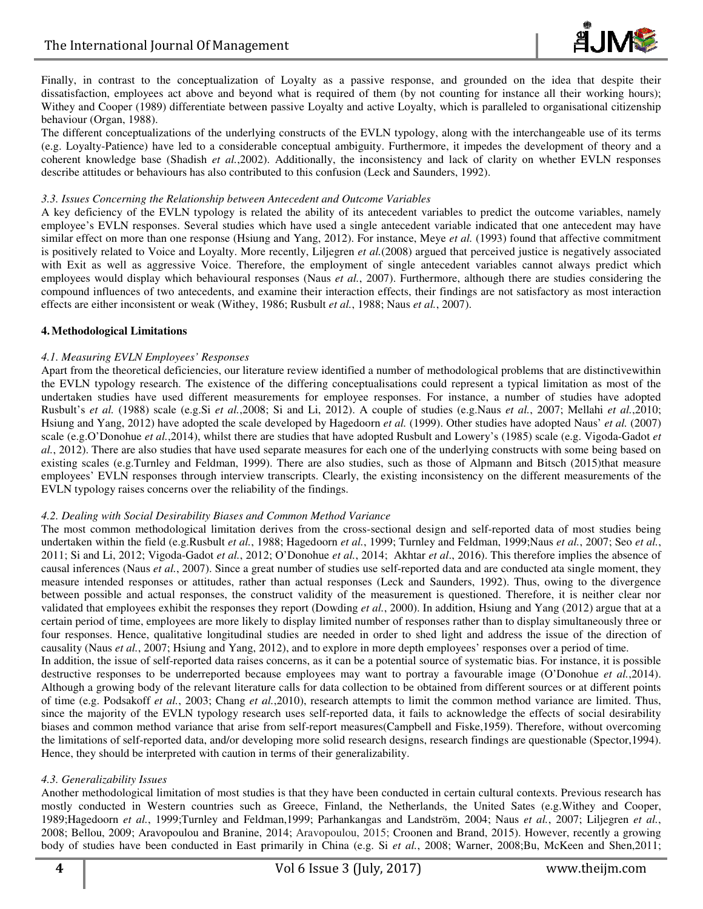

Finally, in contrast to the conceptualization of Loyalty as a passive response, and grounded on the idea that despite their dissatisfaction, employees act above and beyond what is required of them (by not counting for instance all their working hours); dissatisfaction, employees act above and beyond what is required of them (by not counting for instance all their working hours);<br>Withey and Cooper (1989) differentiate between passive Loyalty and active Loyalty, which is p behaviour (Organ, 1988).

The different conceptualizations of the underlying constructs of the EVLN typology, along with the interchangeable use of its terms The different conceptualizations of the underlying constructs of the EVLN typology, along with the interchangeable use of its terms (e.g. Loyalty-Patience) have led to a considerable conceptual ambiguity. Furthermore, it i coherent knowledge base (Shadish et al.,2002). Additionally, the inconsistency and lack of clarity on whether EVLN responses describe attitudes or behaviours has also contributed to this confusion (Leck and Saunders, 1992). 1992). ce) have led to a considerable conceptual ambiguity. Furthermore, it impedes the development of theory and a let base (Shadish *et al.*, 2002). Additionally, the inconsistency and lack of clarity on whether EVLN responses

#### 3.3. Issues Concerning the Relationship between Antecedent and Outcome Variables

A key deficiency of the EVLN typology is related the ability of its antecedent variables to predict the outcome variables, namely employee's EVLN responses. Several studies which have used a single antecedent variable indicated that one antecedent may have similar effect on more than one response (Hsiung and Yang, 2012). For instance, Meye *et al.* (1993) found that affective commitment is positively related to Voice and Loyalty. More recently, Liljegren et al.(2008) argued that perceived justice is negatively associated with Exit as well as aggressive Voice. Therefore, the employment of single antecedent variables cannot always predict which employees would display which behavioural responses (Naus et al., 2007). Furthermore, although there are studies considering the compound influences of two antecedents, and examine their interaction effects, their findings are not satisfactory as most interaction effects are either inconsistent or weak (Withey, 1986; Rusbult *et al.*, 1988; Naus *et al.*, 2007).

#### **4.Methodological Limitations**

#### *4.1. Measuring EVLN Employees' Responses*

Apart from the theoretical deficiencies, our literature review identified a number of methodological problems that are distinctivewithin the EVLN typology research. The existence of the differing conceptualisations could represent a typical limitation as most of the Apart from the theoretical deficiencies, our literature review identified a number of methodological problems that are distinctivewithin<br>the EVLN typology research. The existence of the differing conceptualisations could r Rusbult's *et al.* (1988) scale (e.g.Si *et al.*,2008; Si and Li, 2012). A couple of studies (e.g.Naus 2012). *et al.* , 2007; Mellahi *et al.*,2010; Hsiung and Yang, 2012) have adopted the scale developed by Hagedoorn et al. (1999). Other studies have adopted Naus' et al. (2007) scale (e.g.O'Donohue *et al.*,2014), whilst there are studies that have adopted Rusbult and Lowery's (1985) scale (e.g. Vigoda-Gadot *et* scale (e.g.O'Donohue *et al.*,2014), whilst there are studies that have adopted Rusbult and Lowery's (1985) scale (e.g. Vigoda-Gadot *et al.*, 2012). There are also studies that have used separate measures for each one of existing scales (e.g.Turnley and Feldman, 1999). There are also studies, such as those of Alpmann and Bitsch (2015)that measure employees' EVLN responses through interview transcripts. Clearly, the existing inconsistency on the different measurements of the EVLN typology raises concerns over the reliability of the findings.

#### *4.2. Dealing with Social Desirability Biases and Common Method Variance*

The most common methodological limitation derives from the cross-sectional design and self-reported data of most studies being undertaken within the field (e.g.Rusbult *et al.*, 1988; Hagedoorn *et al.*, 1999; Turnley and Feldman, 1999;Naus *et al.*, 2007; Seo *et al.*, 2011; Si and Li, 2012; Vigoda-Gadot *et al.*, 2012; O'Donohue *et al.*, 2014; Akhtar *et al.*, 2016). This therefore implies the absence of causal inferences (Naus et al., 2007). Since a great number of studies use self-reported data and are conducted ata single moment, they measure intended responses or attitudes, rather than actual responses (Leck and Saunders, 1992). Thus, owing to the divergence between possible and actual responses, the construct validity of the measurement is questioned. Therefore, i validated that employees exhibit the responses they report (Dowding *et al.*, 2000). In addition, Hsiung and Yang (2012) argue that at a validated that employees exhibit the responses they report (Dowding *et al.*, 2000). In addition, Hsiung and Yang (2012) argue that at a certain period of time, employees are more likely to display limited number of respon four responses. Hence, qualitative longitudinal studies are needed in order to shed light and address the issue of the direction of four responses. Hence, qualitative longitudinal studies are needed in order to shed light and address the issue of the direct causality (Naus *et al.*, 2007; Hsiung and Yang, 2012), and to explore in more depth employees' intended responses or attitudes, rather than actual responses (Leck and Saunders, 1992). Thus, owing to the divergence<br>possible and actual responses, the construct validity of the measurement is questioned. Therefore, it i it is neither clear nor

In addition, the issue of self-reported data raises concerns, as it can be a potential source of systematic bias. For instance, it is possible causality (Naus *et al.*, 2007; Hsiung and Yang, 2012), and to explore in more depth employees' responses over a period of time.<br>In addition, the issue of self-reported data raises concerns, as it can be a potential source Although a growing body of the relevant literature calls for data collection to be obtained from different sources or at different points of time (e.g. Podsakoff *et al.*, 2003; Chang *et al.*,2010), research attempts to limit the common method variance are limited. Thus, since the majority of the EVLN typology research uses self-reported data, it fails to acknowledge the effects of social desirability since the majority of the EVLN typology research uses self-reported data, it fails to acknowledge the effects of social desirability biases and common method variance that arise from self-report measures(Campbell and Fiske the limitations of self-reported data, and/or developing more solid research designs, research findings are questionable (Spector,1994). Hence, they should be interpreted with caution in terms of their generalizability.

#### *4.3. Generalizability Issues*

Another methodological limitation of most studies is that they have been conducted in certain cultural contexts. Previous research has Another methodological limitation of most studies is that they have been conducted in certain cultural contexts. Previous research has mostly conducted in Western countries such as Greece, Finland, the Netherlands, the Uni 1989; Hagedoorn et al., 1999; Turnley and Feldman, 1999; Parhankangas and Landström, 2004; Naus et al., 2007; Liljegren et al., 2008; Bellou, 2009; Aravopoulou and Branine, 2014; Aravopoulou, 2015; Croonen and Brand, 2015). However, recently a growing body of studies have been conducted in East primarily in China (e.g. Si et al., 2008; Warner, 2008;Bu, McKeen and Shen,2011;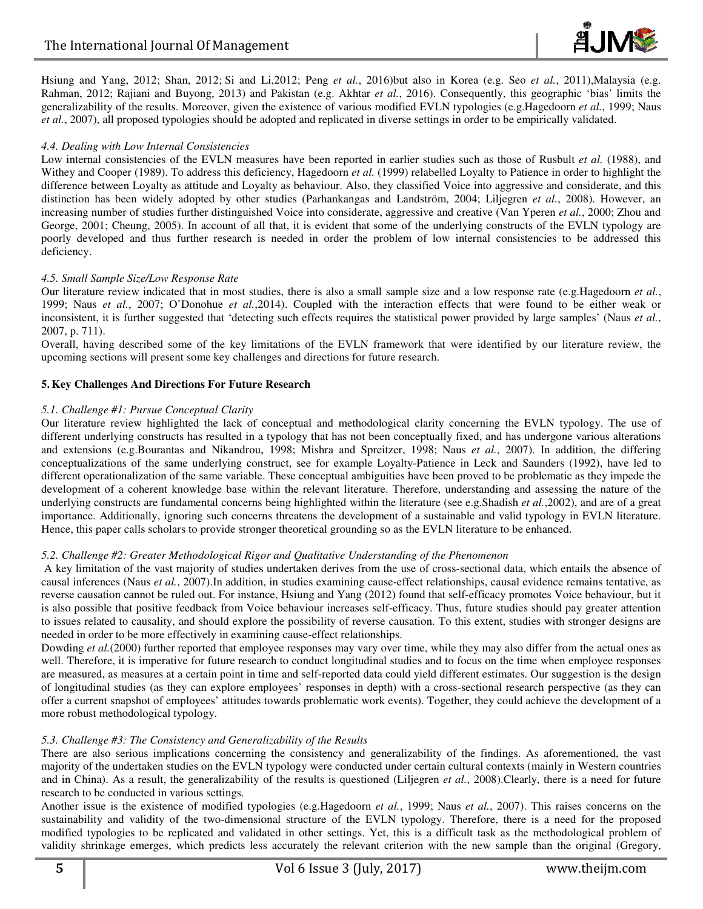

Hsiung and Yang, 2012; Shan, 2012; Si and Li,2012; Peng et al., 2016)but also in Korea (e.g. Seo et al., 2011),Malaysia (e.g. Rahman, 2012; Rajiani and Buyong, 2013) and Pakistan (e.g. Akhtar et al., 2016). Consequently, this geographic 'bias' limits the generalizability of the results. Moreover, given the existence of various modified EVLN typologies (e.g.Hagedoorn *et al.*, 1999; Naus *et al.*, 2007), all proposed typologies should be adopted and replicated in diverse settings in order to be empirically validated.

#### *4.4. Dealing with Low Internal Consistencies*

Low internal consistencies of the EVLN measures have been reported in earlier studies such as those of Withey and Cooper (1989). To address this deficiency, Hagedoorn et al. (1999) relabelled Loyalty to Patience in order to highlight the difference between Loyalty as attitude and Loyalty as behaviour. Also, they classified Voice into aggressive and considerate, and this distinction has been widely adopted by other studies (Parhankangas and Landström, 2004; Liljegren et al., 2008). However, an increasing number of studies further distinguished Voice into considerate, aggressive and creative (Van Yperen *et al.*, 2000; Zhou and increasing number of studies further distinguished Voice into considerate, aggressive and creative (Van Yperen et al., 2000; Zhou and George, 2001; Cheung, 2005). In account of all that, it is evident that some of the unde poorly developed and thus further research is needed in order the problem of low internal consistencies to be addressed this deficiency. all proposed typologies should be adopted and replicated in diverse settings in order to be empirically validated.<br>with Low Internal Consistencies<br>consistencies of the EVLN measures have been reported in earlier studies su Rusbult *et al.* (1988), and

#### *4.5. Small Sample Size/Low Response Rate*

Our literature review indicated that in most studies, there is also a small sample size and a low response rate (e.g.Hagedoorn et al., 1999; Naus et al., 2007; O'Donohue et al., 2014). Coupled with the interaction effects that were found to be either weak or inconsistent, it is further suggested that 'detecting such effects requires the statistical power provided by large samples' (Naus et al., 2007, p. 711).

Overall, having described some of the key limitations of the EVLN framework that were identified by our literature review, the upcoming sections will present some key challenges and directions for future research. upcoming sections will present some key challenges

#### **5. Key Challenges And Directions For Future Research**

#### *5.1. Challenge #1: Pursue Conceptual Clarity*

Our literature review highlighted the lack of conceptual and methodological clarity concerning the EVLN typology. The use of different underlying constructs has resulted in a typology that has not been conceptually fixed, and has undergone various alterations different underlying constructs has resulted in a typology that has not been conceptually fixed, and has undergone various alterations and extensions (e.g.Bourantas and Nikandrou, 1998; Mishra and Spreitzer, 1998; Naus *et* conceptualizations of the same underlying construct, see for example Loyalty-Patience in Leck and Saunders (1992), have led to different operationalization of the same variable. These conceptual ambiguities have been proved to be problematic as they impede the development of a coherent knowledge base within the relevant literature. Therefore, understanding and assessing the nature of underlying constructs are fundamental concerns being highlighted within the literature (see e.g.Shadish et al.,2002), and are of a great importance. Additionally, ignoring such concerns threatens the development of a sustainable and valid typology in EVLN literature. Hence, this paper calls scholars to provide stronger theoretical grounding so as the EVLN literature to be enhanced. alization of the same variable. These conceptual ambiguities have been proved to be problematic as they impercoherent knowledge base within the relevant literature. Therefore, understanding and assessing the nature cts are of the

#### 5.2. Challenge #2: Greater Methodological Rigor and Qualitative Understanding of the Phenomenon

A key limitation of the vast majority of studies undertaken derives from the use of cross-sectional data, which entails the absence of causal inferences (Naus et al., 2007). In addition, in studies examining cause-effect relationships, causal evidence remains tentative, as reverse causation cannot be ruled out. For instance, Hsiung and Yang (2012) found that self-efficacy promotes Voice behaviour, but it is also possible that positive feedback from Voice behaviour increases self-efficacy. Thus, future studies should pay greater attention to issues related to causality, and should explore the possibility of reverse causation. To this extent, studies with stronger designs are needed in order to be more effectively in examining cause-effect relationships. needed in order to be more effectively in examining cause-effect relationships.

Dowding et al. (2000) further reported that employee responses may vary over time, while they may also differ from the actual ones as well. Therefore, it is imperative for future research to conduct longitudinal studies and to focus on the time when employee responses are measured, as measures at a certain point in time and self-reported data could yield different estimates. Our suggestion is the design of longitudinal studies (as they can explore employees' responses in depth) with a cross-sectional research perspective (as they can offer a current snapshot of employees' attitudes towards problematic work events). Together, they could achieve the development of a more robust methodological typology.

#### *5.3. Challenge #3: The Consistency and Generalizability of the Results*

There are also serious implications concerning the consistency and generalizability of the findings. As aforementioned, the vast There are also serious implications concerning the consistency and generalizability of the findings. As aforementioned, the vast majority of the undertaken studies on the EVLN typology were conducted under certain cultural and in China). As a result, the generalizability of the results is questioned (Liljegren et al., 2008). Clearly, there is a need for future research to be conducted in various settings.

Another issue is the existence of modified typologies (e.g.Hagedoorn *et al.*, 1999; Naus *et al.*, 2007). This raises concerns on the sustainability and validity of the two-dimensional structure of the EVLN typology. Therefore, there is a need for the proposed modified typologies to be replicated and validated in other settings. Yet, this is a difficult task as the methodological problem of modified typologies to be replicated and validated in other settings. Yet, this is a difficult task as the methodological problem of validity shrinkage emerges, which predicts less accurately the relevant criterion with th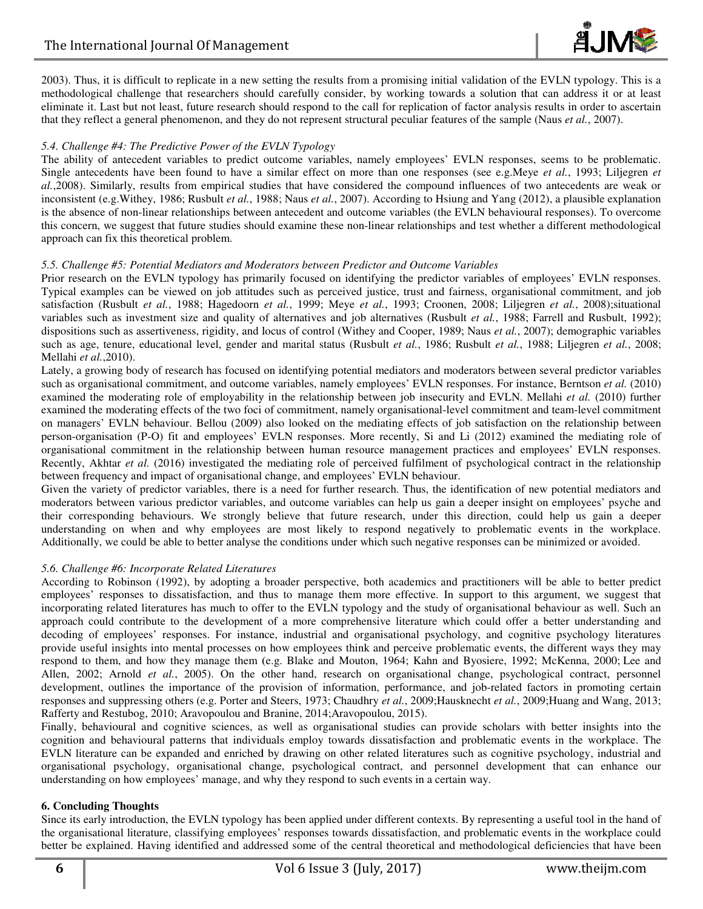

2003). Thus, it is difficult to replicate in a new setting the results from a promising initial validation of the EVLN typology. This is a 2003). Thus, it is difficult to replicate in a new setting the results from a promising initial validation of the EVLN typology. This is a<br>methodological challenge that researchers should carefully consider, by working tow eliminate it. Last but not least, future research should respond to the call for replication of factor analysis results in order to ascertain eliminate it. Last but not least, future research should respond to the call for replication of factor analysis results in order to a<br>that they reflect a general phenomenon, and they do not represent structural peculiar fe

#### *5.4. Challenge #4: The Predictive Power of the EVLN EVLN Typology*

The ability of antecedent variables to predict outcome variables, namely employees' EVLN responses, seems to be problematic. The ability of antecedent variables to predict outcome variables, namely employees' EVLN responses, seems to be problematic.<br>Single antecedents have been found to have a similar effect on more than one responses (see e.g.M al.,2008). Similarly, results from empirical studies that have considered the compound influences of two antecedents are weak or inconsistent (e.g.Withey, 1986; Rusbult *et al.*, 1988; Naus *et al.*, 2007). According to Hsiung and Yang (2012), a plausible explanation is the absence of non-linear relationships between antecedent and outcome variables (the EVLN behavioural responses). To overcome this concern, we suggest that future studies should examine these non-linear relationships and test whether a different methodological approach can fix this theoretical problem.

#### *5.5. Challenge #5: Potential Mediators and Moderators between Predictor and Outcome Variables*

Prior research on the EVLN typology has primarily focused on identifying the predictor variables of employees' EVLN responses. Typical examples can be viewed on job attitudes such as perceived justice, trust and fairness, organisational commitment, and job satisfaction (Rusbult *et al.*, 1988; Hagedoorn *et al.*, 1999; Meye *et al.*, 1993; Croonen, 2008; Liljegren *et al.*, 2008);situational variables such as investment size and quality of alternatives and job alternatives (Rusbult *et al.*, 1988; Farrell and Rusbult, 1992); dispositions such as assertiveness, rigidity, and locus of control (Withey and Cooper, 1989; Naus *et al.*, 2007); demographic variables such as age, tenure, educational level, gender and marital status ( (Rusbult *et al.*, 1986; Rusbult *et al.*, 1988; Liljegren *et al.*, 2008; Mellahi *et al.*,2010).

Lately, a growing body of research has focused on identifying potential mediators and moderators between several predictor variables such as organisational commitment, and outcome variables, namely employees' EVLN responses. For instance, Berntson *et al.* (2010) examined the moderating role of employability in the relationship between job insecurity and EVLN. Mellahi *et al.* (2010) further such as organisational commitment, and outcome variables, namely employees' EVLN responses. For instance, Berntson *et al.* (2010) examined the moderating role of employability in the relationship between job insecurity an on managers' EVLN behaviour. Bellou (2009) also looked on the mediating effects of job satisfaction on the relationship betwe between on managers' EVLN behaviour. Bellou (2009) also looked on the mediating effects of job satisfaction on the relationship between<br>person-organisation (P-O) fit and employees' EVLN responses. More recently, Si and Li (2012) e organisational commitment in the relationship between human resource management practices and employees' EVLN responses. organisational commitment in the relationship between human resource management practices and employees' EVLN responses.<br>Recently, Akhtar *et al.* (2016) investigated the mediating role of perceived fulfilment of psycholog between frequency and impact of organisational change, and employees' EVLN behaviour. Recently, Akhtar *et al.* (2016) investigated the mediating role of perceived fulfilment of psychological contract in the relationship between frequency and impact of organisational change, and employees' EVLN behaviour.<br>G

moderators between various predictor variables, and outcome variables can help us gain a deeper insight on employees' psyche and moderators between various predictor variables, and outcome variables can help us gain a deeper insight on employees' psyche and<br>their corresponding behaviours. We strongly believe that future research, under this directio understanding on when and why employees are most likely to respond negatively to problematic events in the workplace. Additionally, we could be able to better analyse the conditions under which such negative responses can be minimized or avoided.

#### *5.6. Challenge #6: Incorporate Related Literatures*

Additionally, we could be able to better analyse the conditions under which such negative responses can be minimized or avoided.<br>5.6. Challenge #6: Incorporate Related Literatures<br>According to Robinson (1992), by adopting According to Robinson (1992), by adopting a broader perspective, both academics and practitioners will be able to better predict employees' responses to dissatisfaction, and thus to manage them more effective. In support t incorporating related literatures has much to offer to the EVLN typology and the study of organisational behaviour behaviour as well. Such an incorporating related literatures has much to offer to the EVLN typology and the study of organisational behaviour as well. Such an approach could contribute to the development of a more comprehensive literature which coul decoding of employees' responses. For instance, industrial and organisational psychology, and cognitive psychology literatures decoding of employees' responses. For instance, industrial and organisational psychology, and cognitive psychology literatures<br>provide useful insights into mental processes on how employees think and perceive problematic e provide useful insights into mental processes on how employees think and perceive problematic events, the different ways they may respond to them, and how they manage them (e.g. Blake and Mouton, 1964; Kahn and Byosiere, 1 Allen, 2002; Arnold et al., 2005). On the other hand, research on organisational change, psychological contract, personnel development, outlines the importance of the provision of information, performance, and job-related factors in promoting certain responses and suppressing others (e.g. Porter and Steers, 1973; Chaudhry *et al.*, 2009; Hausknecht *et al.*, 2009; Huang and Wang, 2013; Rafferty and Restubog, 2010; Aravopoulou and Branine, 2014;Aravopoulou, 2015 2015).

Finally, behavioural and cognitive sciences, as well as organisational studies can provide scholars with better insights into the cognition and behavioural patterns that individuals employ towards dissatisfaction and problematic events in the workplace. The EVLN literature can be expanded and enriched by drawing on other related literatures such as cognitive psychology, industrial and organisational psychology, organisational change, psychological contract, and personnel development that can enhance our understanding on how employees' manage, and why they respond to such events in a certain way.

#### **6. Concluding Thoughts**

Since its early introduction, the EVLN typology has been applied under different contexts. By representing a useful tool in the hand of Since its early introduction, the EVLN typology has been applied under different contexts. By representing a useful tool in the hand of<br>the organisational literature, classifying employees' responses towards dissatisfactio better be explained. Having identified and addressed some of the central theoretical and methodological deficiencies that have been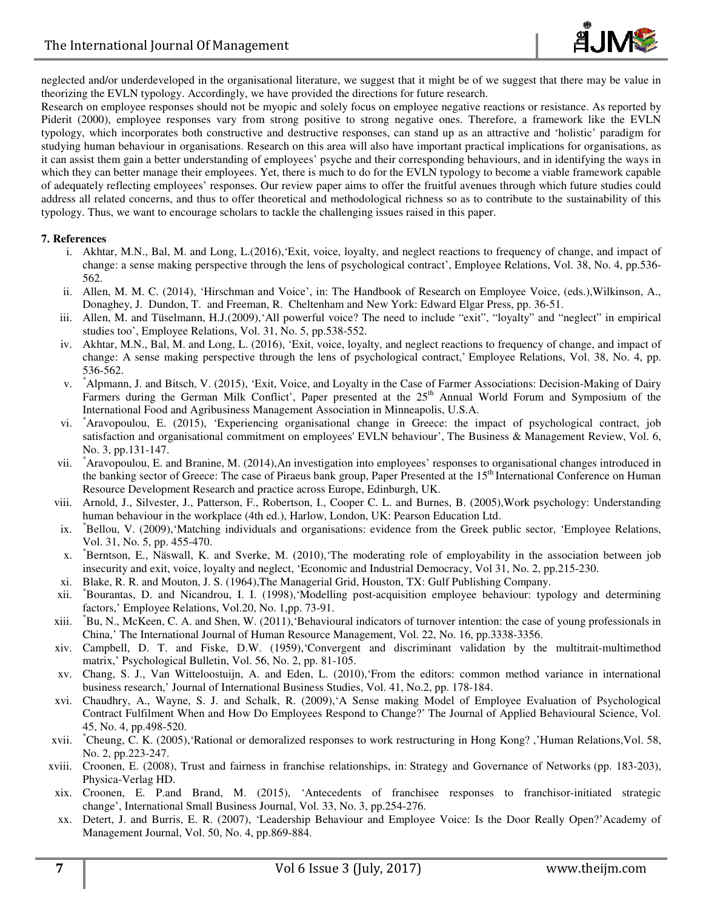

neglected and/or underdeveloped in the organisational literature, we suggest that it might be of we suggest that there may be value in theorizing the EVLN typology. Accordingly, we have provided the directions for future research.

Research on employee responses should not be myopic and solely focus on employee negative reactions or resistance. As reported by Piderit (2000), employee responses vary from strong positive to strong negative ones. Therefore, a framework like the EVLN typology, which incorporates both constructive and destructive responses, can stand up as an attractive and 'holistic' paradigm for<br>studying human behaviour in organisations. Research on this area will also have important studying human behaviour in organisations. Research on this area will also have important practical implications for organisations, as it can assist them gain a better understanding of employees' psyche and their corresponding behaviours, and in identifying the ways in which they can better manage their employees. Yet, there is much to do for the EVLN typology to become a viable framework capable which they can better manage their employees. Yet, there is much to do for the EVLN typology to become a viable framework capable<br>of adequately reflecting employees' responses. Our review paper aims to offer the fruitful a address all related concerns, and thus to offer theoretical and methodological richness so as to contribute to the sustainability of this typology. Thus, we want to encourage scholars to tackle the challenging issues raise typology. Thus, we want to encourage scholars to tackle the challenging i

#### **7. References**

- i. Akhtar, M.N., Bal, M. and Long, L.(2016), Exit, voice, loyalty, and neglect reactions to frequency of change, and impact of change: a sense making perspective through the lens of psychological contract', Employee Relations, Vol. 38, No. 4, pp.536-562.
- ii. Allen, M. M. C. (2014), 'Hirschman and Voice', in: The Handbook of Research on Employee Voice, (eds.),Wilkinson, A., Donaghey, J. Dundon, T. and Freeman, R. Cheltenham and New York: Edward Elgar Press, pp. 36 36-51.
- Donaghey, J. Dundon, T. and Freeman, R. Cheltenham and New York: Edward Elgar Press, pp. 36-51.<br>iii. Allen, M. and Tüselmann, H.J.(2009), All powerful voice? The need to include "exit", "loyalty" and "neglect" in empirical studies too', Employee Relations, Vol. 31, No. 5, pp.538-552.
- iv. Akhtar, M.N., Bal, M. and Long, L. (2016), 'Exit, voice, loyalty, and neglect reactions to frequency of change, and impact of change: A sense making perspective through the lens of psychological contract,' Employee Relations, Vol. 38, No. 4, pp. 536-562.
- v. \* Alpmann, J. and Bitsch, V. (2015), 'Exit, Voice, and Loyalty in the Case of Farmer Associations: Decision-Making of Dairy Farmers during the German Milk Conflict', Paper presented at the 25<sup>th</sup> Annual World Forum and Symposium of the International Food and Agribusiness Management Association in Minneapolis, U.S.A.
- vi. \*Aravopoulou, E. (2015), 'Experiencing organisational change in Greece: the impact of psychological contract, job Aravopoulou, E. (2015), 'Experiencing organisational change in Greece: the impact of psychological contract, job<br>satisfaction and organisational commitment on employees' EVLN behaviour', The Business & Management Review, V No. 3, pp.131-147.
- vii. \* Aravopoulou, E. and Branine, M. (2014), An investigation into employees' responses to organisational changes introduced in the banking sector of Greece: The case of Piraeus bank group, Paper Presented at the 15<sup>th</sup> International Conference on Human Resource Development Research and practice across Europe, Edinburgh, UK.
- viii. Arnold, J., Silvester, J., Patterson, F., Robertson, I., Cooper C. L. and Burnes, B. (2005), Work psychology: Understanding human behaviour in the workplace (4th ed.), Harlow, London, UK: Pearson Education Ltd.
- ix. \*Bellou, V. (2009), 'Matching individuals and organisations: evidence from the Greek public sector, 'Employee Relations, Vol. 31, No. 5, pp. 455-470.
- x. \*Berntson, E., Näswall, K. and Sverke, M. (2010),'The moderating role of employability in the association betwe between job <sup>\*</sup>Berntson, E., Näswall, K. and Sverke, M. (2010), The moderating role of employability in the association insecurity and exit, voice, loyalty and neglect, 'Economic and Industrial Democracy, Vol 31, No. 2, pp.215-230.
- xi. Blake, R. R. and Mouton, J. S. (1964), The Managerial Grid, Houston, TX: Gulf Publishing Company.
- xii. <sup>\*</sup>Bourantas, D. and Nicandrou, I. I. (1998), Modelling post-acquisition employee behaviour: typology and determining factors,' Employee Relations, Vol.20, No. 1,pp. 73-91.
- xiii. <sup>\*</sup>Bu, N., McKeen, C. A. and Shen, W. (2011), Behavioural indicators of turnover intention: the case of young professionals in China,' The International Journal of Human Resource Management, Vol. 22, No. 16, pp.3338-3356.
- China,' The International Journal of Human Resource Management, Vol. 22, No. 16, pp.3338-3356.<br>xiv. Campbell, D. T. and Fiske, D.W. (1959), Convergent and discriminant validation by the multitrait-multimethod matrix,' Psychological Bulletin, Vol. 56, No. 2, pp. 81-105.
- xv. Chang, S. J., Van Witteloostuijn, A. and Eden, L. (2010), From the editors: common method variance in international business research,' Journal of International Business Studies Studies, Vol. 41, No.2, pp. 178-184.
- xvi. Chaudhry, A., Wayne, S. J. and Schalk, R. (2009), A Sense making Model of Employee Evaluation of Psychological Contract Fulfilment When and How Do Employees Respond to Change?' The Journal of Applied Behavioural Science, Vol. 45, No. 4, pp.498-520.
- xvii. \*Cheung, C. K. (2005), Rational or demoralized responses to work restructuring in Hong Kong? ,'Human Relations, Vol. 58, No. 2, pp.223-247.
- xviii. Croonen, E. (2008), Trust and fairness in franchise relationships, in: Strategy and Governance of Networks (pp. 183-203), Physica-Verlag HD.
- xix. Croonen, E. P.and Brand, M. (2015), 'Antecedents of franchisee responses to franchisor-initiated strategic change', International Small Business Journal, Vol. 33, No. 3, pp.254-276. change', International Small Business Journal, Vol. 33, No. 3, pp.254-276.
- xx. Detert, J. and Burris, E. R. (2007), 'Leadership Behaviour and Employee Voice: Is the Door Really Open?'Academy of Management Journal, Vol. 50, No. 4, pp.869-884. Management Journal, Vol. 50, No. 4, pp.869-884.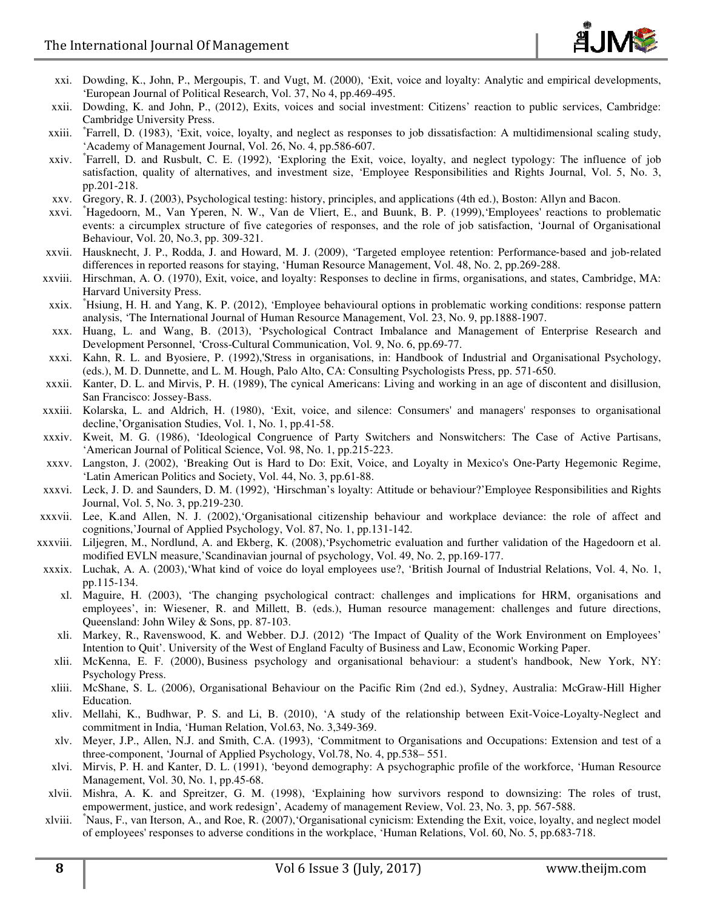

- xxi. Dowding, K., John, P., Mergoupis, T. and Vugt, M. (2000), 'Exit, voice and loyalty: Analytic and empirical developments, 'European Journal of Political Research, Vol. 37, No 4, pp.469-495. 'European Journal of Political Research
- xxii. Dowding, K. and John, P., (2012), Exits, voices and social investment: Citizens' reaction to public services, Cambridge: Cambridge University Press.
- xxiii. Farrell, D. (1983), 'Exit, voice, loyalty, and neglect as responses to job dissatisfaction: A multidimensional scaling study, 'Academy of Management Journal, Vol. 26 26, No. 4, pp.586-607.
- xxiv. Farrell, D. and Rusbult, C. E. (1992), 'Exploring the Exit, voice, loyalty, and neglect typology: The influence of job satisfaction, quality of alternatives, and investment size, 'Employee Responsibilities and Rights Journal, Vol. 5, No. 3, pp.201-218.
- xxv. Gregory, R. J. (2003), Psychological testing: history, principles, and applications (4th ed.), Boston: Allyn and Bacon.
- xxvi. \*Hagedoorn, M., Van Yperen, N. W., Van de Vliert, E., and Buunk, B. P. (1999), Employees' reactions to problematic events: a circumplex structure of five categories of responses, and the role of job satisfaction, 'Journal of Organisational Behaviour, Vol. 20, No.3, pp. 309-321. Behaviour, Vol. 20, No.3, pp. 309-321.
- xxvii. Hausknecht, J. P., Rodda, J. and Howard, M. J. (2009), 'Targeted employee retention: Performance-based and job-related Hausknecht, J. P., Rodda, J. and Howard, M. J. (2009), 'Targeted employee retention: Performance-t<br>differences in reported reasons for staying, 'Human Resource Management, Vol. 48, No. 2, pp.269-288.
- xxviii. Hirschman, A. O. (1970), Exit, voice, and loyalty: Responses to decline in firms, organisations, and states, Cambridge, MA: Harvard University Press. xviii. Hirschman, A. O. (1970), Exit, voice, and loyalty: Responses to decline in firms, organisations, and states, Cambridge, MA:<br>Harvard University Press.<br>xxix. \*Hsiung, H. H. and Yang, K. P. (2012), 'Employee behavioura
- analysis, 'The International Journal of Human Resource Management, Vol. 23, No. 9, pp.1888-1907.
- xxx. Huang, L. and Wang, B. (2013), 'Psychological Contract Imbalance and Management of Enterprise Research and Development Personnel, 'Cross-Cultural Communication, Vol. 9, No. 6, pp.69-77.
- xxxi. Kahn, R. L. and Byosiere, P. (1992),'Stress in organisations, in: Handbook of Industrial and Organisational Psychology, (eds.), M. D. Dunnette, and L. M. Hough, Palo Alto, CA: Consulting Psychologists Press, pp. 571 571-650.
- (eds.), M. D. Dunnette, and L. M. Hough, Palo Alto, CA: Consulting Psychologists Press, pp. 571-650.<br>xxxii. Kanter, D. L. and Mirvis, P. H. (1989), The cynical Americans: Living and working in an age of discontent and disi San Francisco: Jossey-Bass.
- xxxiii. Kolarska, L. and Aldrich, H. (1980), 'Exit, voice, and silence: Consumers' and managers' responses to organisational decline, 'Organisation Studies, Vol. 1, No. 1, pp.41-58.
- xxxiv. Kweit, M. G. (1986), 'Ideological Congruence of Party Switchers and Nonswitchers: The Case of Active Partisans, 'American Journal of Political Science, Vol. 98, No. 1, pp.215-223.
- xxxv. Langston, J. (2002), 'Breaking Out is Hard to Do: Exit, Voice, and Loyalty in Mexico's One-Party Hegemonic Regime, 'Latin American Politics and Society, Vol. 44, No. 3, pp.61-88. 'Latin American Politics and Society, Vol. 44, No. 3, pp.61-88.
- xxxvi. Leck, J. D. and Saunders, D. M. (1992), 'Hirschman's loyalty: Attitude or behaviour?'Employee Responsibilities and Rights Journal, Vol. 5, No. 3, pp.219-230.
- xxxvii. Lee, K.and Allen, N. J. (2002), Organisational citizenship behaviour and workplace deviance: the role of affect and cognitions,'Journal of Applied Psychology, Vol. 87, No. 1, pp.131-142.
- xxxviii. Liljegren, M., Nordlund, A. and Ekberg, K. (2008), Psychometric evaluation and further validation of the Hagedoorn et al.<br>modified EVLN measure, Scandinavian journal of psychology, Vol. 49, No. 2, pp.169-177. modified EVLN measure,'Scandinavian journal of psychology, Vol. 49, No. 2, pp.169-177.
- xxxix. Luchak, A. A. (2003), 'What kind of voice do loyal employees use?, 'British Journal of Industrial Relations, Vol. 4, No. 1, pp.115-134.
	- xl. Maguire, H. (2003), 'The changing psychological contract: challenges and implications for HRM, organisations and employees', in: Wiesener, R. and Millett, B. (eds.), Human resource management: challenges and future directions, Queensland: John Wiley & Sons, pp. 87-103.
	- xli. Markey, R., Ravenswood, K. and Webber. D.J. (2012) 'The Impact of Quality of the Work Environment on Employees' Intention to Quit'. University of the West of England Faculty of Business and Law, Economic Working Paper. xli. Markey, R., Ravenswood, K. and Webber. D.J. (2012) 'The Impact of Quality of the Work Environment on Employees'<br>Intention to Quit'. University of the West of England Faculty of Business and Law, Economic Working Paper
	- Psychology Press.
- xliii. McShane, S. L. (2006), Organisational Behaviour on the Pacific Rim (2nd ed.), Sydney, Australia: McGraw McGraw-Hill Higher Education. xliii. McShane, S. L. (2006), Organisational Behaviour on the Pacific Rim (2nd ed.), Sydney, Australia: McGraw-Hill Higher<br>Education.<br>xliv. Mellahi, K., Budhwar, P. S. and Li, B. (2010), 'A study of the relationship betwee
- commitment in India, 'Human Relation, Vol.63, No. 3,349-369.
- xlv. Meyer, J.P., Allen, N.J. and Smith, C.A. (1993), 'Commitment to Organisations and Occupations: Extension and test of a three-component, 'Journal of Applied Psychology, Vol.78, No. 4, pp.538–551.
- xlvi. Mirvis, P. H. and Kanter, D. L. (1991), 'beyond demography: A psychographic profile of the workforce, 'Human Resource Management, Vol. 30, No. 1, pp.45-68. xlvi. Mirvis, P. H. and Kanter, D. L. (1991), 'beyond demography: A psychographic profile of the workforce, 'Human Resource Management, Vol. 30, No. 1, pp.45-68.<br>xlvii. Mishra, A. K. and Spreitzer, G. M. (1998), 'Explainin
- empowerment, justice, and work redesign', Academy of management Review, Vol. 23, No. 3, pp. 567-588.
- xlviii. <sup>\*</sup>Naus, F., van Iterson, A., and Roe, R. (2007), 'Organisational cynicism: Extending the Exit, voice, loyalty, and neglect model of employees' responses to adverse conditions in the workplace, 'Human Relations, Vol. 60, No. 5, pp.683-718.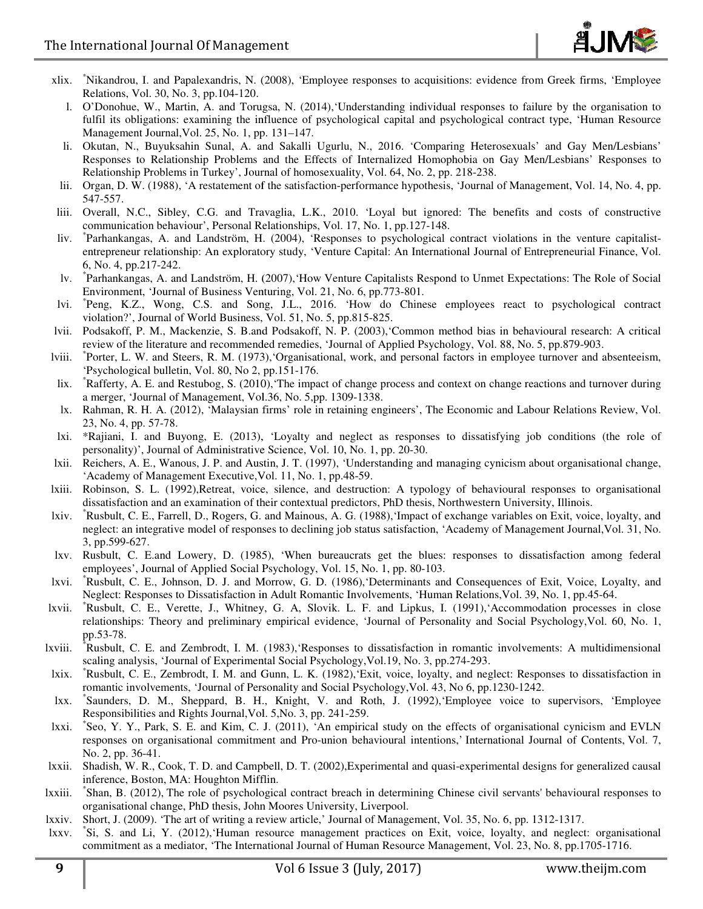

- xlix. \*Nikandrou, I. and Papalexandris, N. (2008), 'Employee responses to acquisitions: evidence from Greek firms, 'Employee Relations, Vol. 30, No. 3, pp.104-120. k. This and to paralisandris, N. (2008), 'Employee responses to acquisitions: evidence from Greek firms, 'Employee<br>Relations, Vol. 30, No. 3, pp. 104-120.<br>1. O'Donohue, W., Martin, A. and Torugsa, N. (2014), 'Understanding
	- fulfil its obligations: examining the influence of psychological capital and psychological contract type, 'Human Resource Management Journal,Vol. 25, No. 1, pp. 131 131–147.
	- li. Okutan, N., Buyuksahin Sunal, A. and Sakalli Ugurlu, N., 2016. 'Comparing Heterosexuals' and Gay Men/Lesbians' Heterosexuals' Gay Men/Lesbians' Responses to Relationship Problems and the Effects of Internalized Homophobia on Gay Men/Lesbians' Responses to Relationship Problems in Turkey', Journal of homosexuality, Vol. 64, No. 2, pp. 218-238.
- lii. Organ, D. W. (1988), 'A restatement of the satisfaction-performance hypothesis, 'Journal of Management, Vol. 14, No. 4, pp. 547-557.
- liii. Overall, N.C., Sibley, C.G. and Travaglia, L.K., 2010. 'Loyal but ignored: The benefits and costs of constructive communication behaviour', Personal Relationships, Vol. 17, No. 1, pp.127-148.
- liv. <sup>\*</sup>Parhankangas, A. and Landström, H. (2004), 'Responses to psychological contract violations in the venture capitalistentrepreneur relationship: An exploratory study, 'Venture Capital: An International Journal of Entrepreneurial Finance, Vol. 6, No. 4, pp.217-242.
- $\operatorname{lv.}$ Parhankangas, A. and Landström, H. (2007), How Venture Capitalists Respond to Unmet Expectations: The Role of Social Environment, 'Journal of Business Venturing, Vol. 21, No. 6, pp.773-801.
- lvi. Peng, K.Z., Wong, C.S. and Song, J.L., 2016. 'How do Chinese employees react to psychological contract violation?', Journal of World Business, Vol. 51, No. 5, pp.815-825. violation?', Journal of World Business, Vol. 51, No. 5, pp.815-825.
- lvii. Podsakoff, P. M., Mackenzie, S. B.and Podsakoff, N. P. (2003), Common method bias in behavioural research: A critical review of the literature and recommended remedies, 'Journal of Applied Psychology, Vol. 88, No. 5, pp.879-903.
- lviii. Porter, L. W. and Steers, R. M. (1973), Organisational, work, and personal factors in employee turnover and absenteeism, Psychological bulletin, Vol. 80, No 2, pp.151-176. 'Psychological bulletin, Vol. 80, No 2, pp.
- lix. \*Rafferty, A. E. and Restubog, S. (2010), The impact of change process and context on change reactions and turnover during a merger, 'Journal of Management, Vol.36, No. 5,pp. 1309-1338.
- lx. Rahman, R. H. A. (2012), 'Malaysian firms' role in retaining engineers', The Economic and Labour Relations Review, Vol. 23, No. 4, pp. 57-78.
- lxi. \*Rajiani, I. and Buyong, E. (2013), 'Loyalty and neglect as responses to dissatisfying job conditions (the role of personality)', Journal of Administrative Science, Vol. 10, No. 1, pp. 20-30.
- lxii. Reichers, A. E., Wanous, J. P. and Austin, J. T. (1997), 'Understanding and managing cynicism about organisational change, 'Academy of Management Executive, Vol. 11, No. 1, pp.48-59.
- lxiii. Robinson, S. L. (1992),Retreat, voice, silence, and destruction: A typology of behavioural responses to organisational dissatisfaction and an examination of their contextual predictors, PhD thesis, Northwestern University, Illinois.
- dissatisfaction and an examination of their contextual predictors, PhD thesis, Northwestern University, Illinois.<br>Ixiv. \*Rusbult, C. E., Farrell, D., Rogers, G. and Mainous, A. G. (1988), Impact of exchange variables on Ex neglect: an integrative model of responses to declining job status satisfaction, 'Academy of Management Journal, Vol. 31, No. 3, pp.599-627.
- lxv. Rusbult, C. E.and Lowery, D. (1985), 'When bureaucrats get the blues: responses to dissatisfaction among federal employees', Journal of Applied Social Psychology, Vol. 15, No. 1, pp. 80-103.
- lxvi. \*Rusbult, C. E., Johnson, D. J. and Morrow, G. D. (1986), Determinants and Consequences of Exit, Voice, Loyalty, and Neglect: Responses to Dissatisfaction in Adult Romantic Involvements, 'Human Relations, Vol. 39, No. 1, pp.45-64.
- lxvii. \*Rusbult, C. E., Verette, J., Whitney, G. A, Slovik. L. F. and Lipkus, I. (1991), Accommodation processes in close relationships: Theory and preliminary empirical evidence, 'Journal of Personality and Social Psychology, Vol. 60, No. 1, pp.53-78.
- lxviii. Rusbult, C. E. and Zembrodt, I. M. (1983), Responses to dissatisfaction in romantic involvements: A multidimensional scaling analysis, 'Journal of Experimental Social Psychology, Vol.19, No. 3, pp.274-293.
- lxix. \*Rusbult, C. E., Zembrodt, I. M. and Gunn, L. K. (1982), Exit, voice, loyalty, and neglect: Responses to dissatisfaction in romantic involvements, 'Journal of Personality and Social Psychology, Vol. 43, No 6, pp.1230-1242.
- $lxx.$ omantic involvements, 'Journal of Personality and Social Psychology, Vol. 43, No 6, pp.1230-1242.<br>Saunders, D. M., Sheppard, B. H., Knight, V. and Roth, J. (1992), Employee voice to supervisors, 'Employee Responsibilities and Rights Journal, Vol. 5, No. 3, pp. 241-259.
- lxxi. Seo, Y. Y., Park, S. E. and Kim, C. J. (2011), 'An empirical study on the effects of organisational cynicism and EVLN responses on organisational commitment and Pro-union behavioural intentions,' International Journal of Contents, Vol. 7, No. 2, pp. 36-41.
- lxxii. Shadish, W. R., Cook, T. D. and Campbell, D. T. (2002), Experimental and quasi-experimental designs for generalized causal inference, Boston, MA: Houghton Mifflin.
- lxxiii. \* nference, Boston, MA: Houghton Mifflin.<br>Shan, B. (2012), The role of psychological contract breach in determining Chinese civil servants' behavioural responses to organisational change, PhD thesis, John Moores University, Liverpool.
- lxxiv. Short, J. (2009). 'The art of writing a review article,' Journal of Management, Vol. 35, No. 6, pp. 1312 1312-1317.
- lxxv. by preamisational change, PhD thesis, John Moores University, Liverpool.<br>Short, J. (2009). 'The art of writing a review article,' Journal of Management, Vol. 35, No. 6, pp. 1312-1317.<br>Si, S. and Li, Y. (2012),'Human resour commitment as a mediator, 'The International Journal of Human Resource Management, Vol. 23, No. 8, pp.1705-1716.